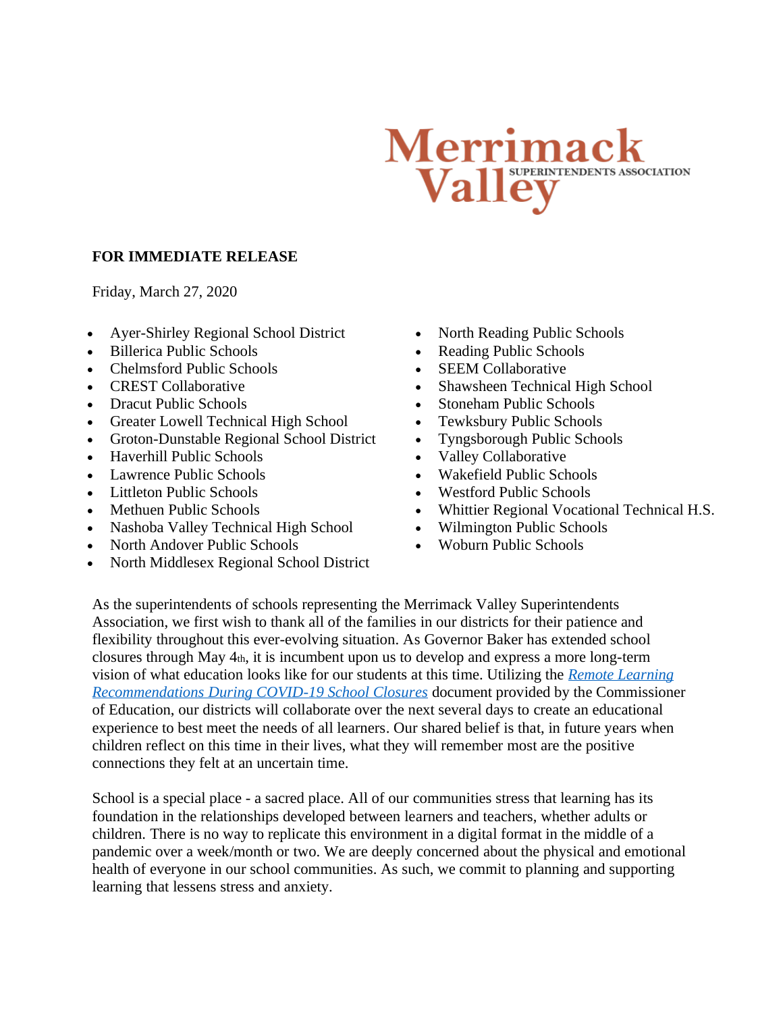## Merrimac Valley Association

## **FOR IMMEDIATE RELEASE**

Friday, March 27, 2020

- Ayer-Shirley Regional School District
- Billerica Public Schools
- Chelmsford Public Schools
- CREST Collaborative
- Dracut Public Schools
- Greater Lowell Technical High School
- Groton-Dunstable Regional School District
- Haverhill Public Schools
- Lawrence Public Schools
- Littleton Public Schools
- Methuen Public Schools
- Nashoba Valley Technical High School
- North Andover Public Schools
- North Middlesex Regional School District
- North Reading Public Schools
- Reading Public Schools
- SEEM Collaborative
- Shawsheen Technical High School
- Stoneham Public Schools
- Tewksbury Public Schools
- Tyngsborough Public Schools
- Valley Collaborative
- Wakefield Public Schools
- Westford Public Schools
- Whittier Regional Vocational Technical H.S.
- Wilmington Public Schools
- Woburn Public Schools

As the superintendents of schools representing the Merrimack Valley Superintendents Association, we first wish to thank all of the families in our districts for their patience and flexibility throughout this ever-evolving situation. As Governor Baker has extended school closures through May 4th, it is incumbent upon us to develop and express a more long-term vision of what education looks like for our students at this time. Utilizing the *[Remote Learning](http://www.doe.mass.edu/sfs/emergencyplan/covid19.html)  Recommendations [During COVID-19 School Closures](http://www.doe.mass.edu/sfs/emergencyplan/covid19.html)* document provided by the Commissioner of Education, our districts will collaborate over the next several days to create an educational experience to best meet the needs of all learners. Our shared belief is that, in future years when children reflect on this time in their lives, what they will remember most are the positive connections they felt at an uncertain time.

School is a special place - a sacred place. All of our communities stress that learning has its foundation in the relationships developed between learners and teachers, whether adults or children. There is no way to replicate this environment in a digital format in the middle of a pandemic over a week/month or two. We are deeply concerned about the physical and emotional health of everyone in our school communities. As such, we commit to planning and supporting learning that lessens stress and anxiety.